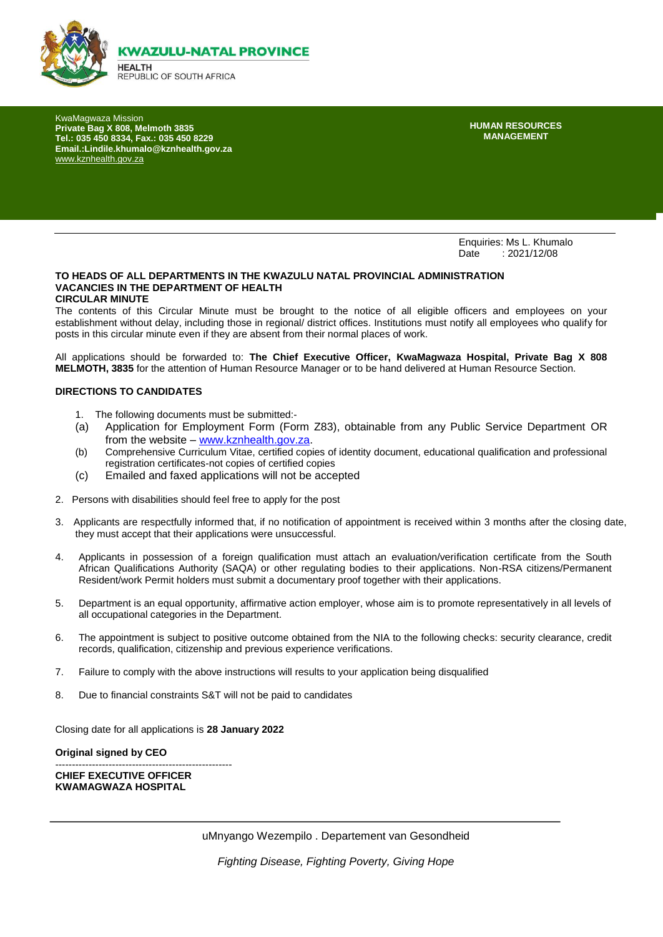

KwaMagwaza Mission **Private Bag X 808, Melmoth 3835 Tel.: 035 450 8334, Fax.: 035 450 8229 Email.:Lindile.khumalo@kznhealth.gov.za**  [www.kznhealth.gov.za](http://www.kznhealth.gov.za/)

**HUMAN RESOURCES MANAGEMENT**

Enquiries: Ms L. Khumalo<br>Date : 2021/12/08  $: 2021/12/08$ 

#### **TO HEADS OF ALL DEPARTMENTS IN THE KWAZULU NATAL PROVINCIAL ADMINISTRATION VACANCIES IN THE DEPARTMENT OF HEALTH CIRCULAR MINUTE**

The contents of this Circular Minute must be brought to the notice of all eligible officers and employees on your establishment without delay, including those in regional/ district offices. Institutions must notify all employees who qualify for posts in this circular minute even if they are absent from their normal places of work.

All applications should be forwarded to: **The Chief Executive Officer, KwaMagwaza Hospital, Private Bag X 808 MELMOTH, 3835** for the attention of Human Resource Manager or to be hand delivered at Human Resource Section.

#### **DIRECTIONS TO CANDIDATES**

- 1. The following documents must be submitted:-
- (a) Application for Employment Form (Form Z83), obtainable from any Public Service Department OR from the website – [www.kznhealth.gov.za.](http://www.kznhealth.gov.za/)
- (b) Comprehensive Curriculum Vitae, certified copies of identity document, educational qualification and professional registration certificates-not copies of certified copies
- (c) Emailed and faxed applications will not be accepted
- 2. Persons with disabilities should feel free to apply for the post
- 3. Applicants are respectfully informed that, if no notification of appointment is received within 3 months after the closing date, they must accept that their applications were unsuccessful.
- 4. Applicants in possession of a foreign qualification must attach an evaluation/verification certificate from the South African Qualifications Authority (SAQA) or other regulating bodies to their applications. Non-RSA citizens/Permanent Resident/work Permit holders must submit a documentary proof together with their applications.
- 5. Department is an equal opportunity, affirmative action employer, whose aim is to promote representatively in all levels of all occupational categories in the Department.
- 6. The appointment is subject to positive outcome obtained from the NIA to the following checks: security clearance, credit records, qualification, citizenship and previous experience verifications.
- 7. Failure to comply with the above instructions will results to your application being disqualified
- 8. Due to financial constraints S&T will not be paid to candidates

Closing date for all applications is **28 January 2022**

**Original signed by CEO**

----------------------------------------------------- **CHIEF EXECUTIVE OFFICER KWAMAGWAZA HOSPITAL**

*Fighting Disease, Fighting Poverty, Giving Hope*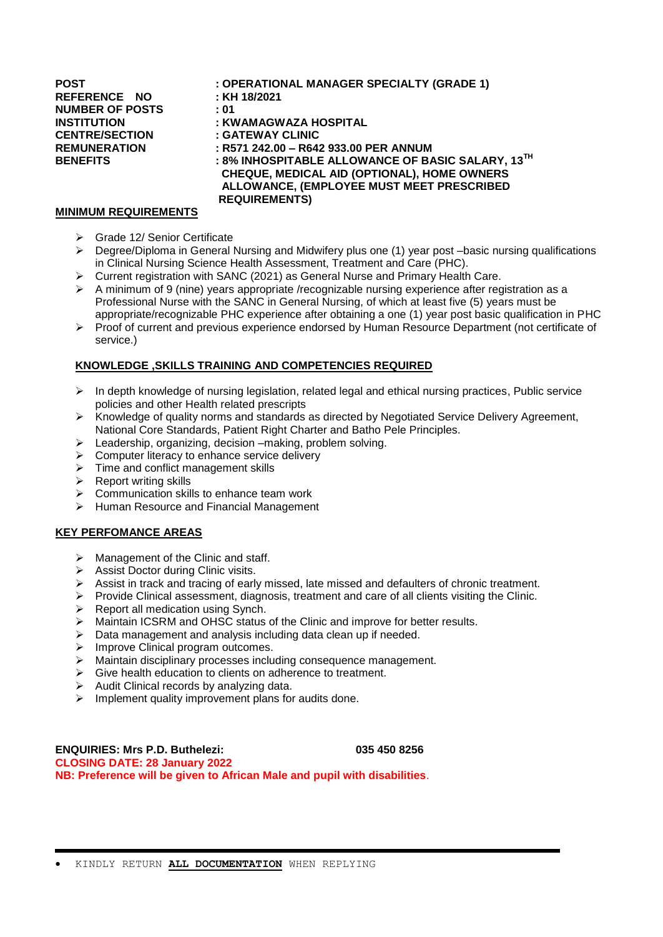**REFERENCE NO : KH 18/2021 NUMBER OF POSTS : 01 CENTRE/SECTION : GATEWAY CLINIC**

# **POST : OPERATIONAL MANAGER SPECIALTY (GRADE 1) INSTITUTION : KWAMAGWAZA HOSPITAL REMUNERATION : R571 242.00 – R642 933.00 PER ANNUM BENEFITS : 8% INHOSPITABLE ALLOWANCE OF BASIC SALARY, 13 TH CHEQUE, MEDICAL AID (OPTIONAL), HOME OWNERS ALLOWANCE, (EMPLOYEE MUST MEET PRESCRIBED REQUIREMENTS)**

#### **MINIMUM REQUIREMENTS**

- Grade 12/ Senior Certificate
- ▶ Degree/Diploma in General Nursing and Midwifery plus one (1) year post –basic nursing qualifications in Clinical Nursing Science Health Assessment, Treatment and Care (PHC).
- Current registration with SANC (2021) as General Nurse and Primary Health Care.
- A minimum of 9 (nine) years appropriate /recognizable nursing experience after registration as a Professional Nurse with the SANC in General Nursing, of which at least five (5) years must be appropriate/recognizable PHC experience after obtaining a one (1) year post basic qualification in PHC
- $\triangleright$  Proof of current and previous experience endorsed by Human Resource Department (not certificate of service.)

## **KNOWLEDGE ,SKILLS TRAINING AND COMPETENCIES REQUIRED**

- $\triangleright$  In depth knowledge of nursing legislation, related legal and ethical nursing practices, Public service policies and other Health related prescripts
- Knowledge of quality norms and standards as directed by Negotiated Service Delivery Agreement, National Core Standards, Patient Right Charter and Batho Pele Principles.
- $\triangleright$  Leadership, organizing, decision –making, problem solving.
- Computer literacy to enhance service delivery
- $\triangleright$  Time and conflict management skills
- $\triangleright$  Report writing skills
- $\triangleright$  Communication skills to enhance team work
- Human Resource and Financial Management

## **KEY PERFOMANCE AREAS**

- $\triangleright$  Management of the Clinic and staff.
- $\triangleright$  Assist Doctor during Clinic visits.
- $\triangleright$  Assist in track and tracing of early missed, late missed and defaulters of chronic treatment.
- $\triangleright$  Provide Clinical assessment, diagnosis, treatment and care of all clients visiting the Clinic.
- $\triangleright$  Report all medication using Synch.
- $\triangleright$  Maintain ICSRM and OHSC status of the Clinic and improve for better results.
- $\triangleright$  Data management and analysis including data clean up if needed.
- $\triangleright$  Improve Clinical program outcomes.
- Maintain disciplinary processes including consequence management.
- $\triangleright$  Give health education to clients on adherence to treatment.
- $\triangleright$  Audit Clinical records by analyzing data.
- $\triangleright$  Implement quality improvement plans for audits done.

**ENQUIRIES: Mrs P.D. Buthelezi: 035 450 8256 CLOSING DATE: 28 January 2022 NB: Preference will be given to African Male and pupil with disabilities**.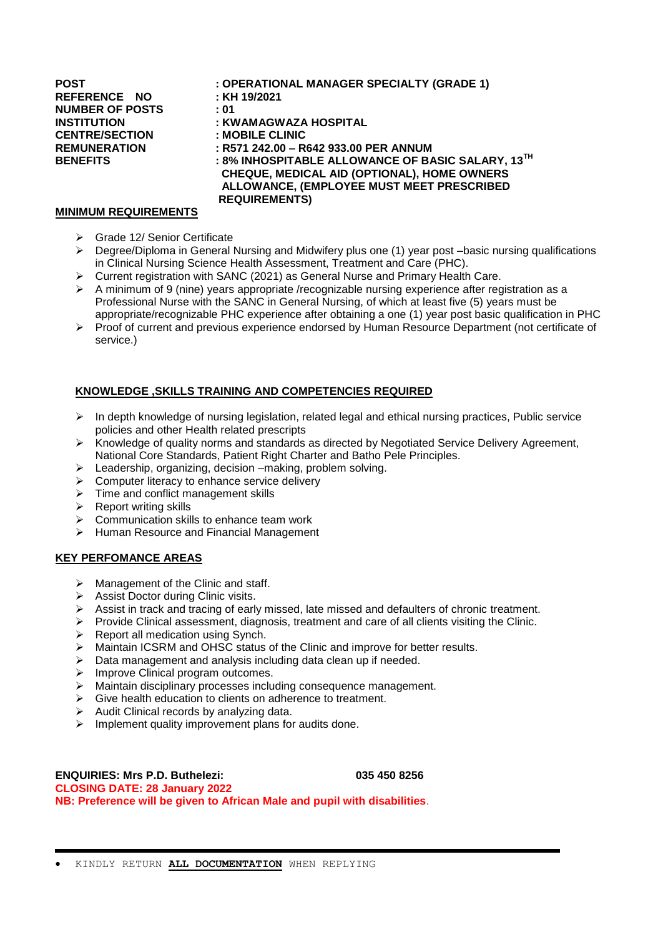**REFERENCE NO : KH 19/2021 NUMBER OF POSTS : 01 CENTRE/SECTION : MOBILE CLINIC**

# **POST : OPERATIONAL MANAGER SPECIALTY (GRADE 1) INSTITUTION : KWAMAGWAZA HOSPITAL REMUNERATION : R571 242.00 – R642 933.00 PER ANNUM BENEFITS : 8% INHOSPITABLE ALLOWANCE OF BASIC SALARY, 13TH CHEQUE, MEDICAL AID (OPTIONAL), HOME OWNERS ALLOWANCE, (EMPLOYEE MUST MEET PRESCRIBED REQUIREMENTS)**

#### **MINIMUM REQUIREMENTS**

- Grade 12/ Senior Certificate
- Degree/Diploma in General Nursing and Midwifery plus one (1) year post –basic nursing qualifications in Clinical Nursing Science Health Assessment, Treatment and Care (PHC).
- > Current registration with SANC (2021) as General Nurse and Primary Health Care.
- A minimum of 9 (nine) years appropriate /recognizable nursing experience after registration as a Professional Nurse with the SANC in General Nursing, of which at least five (5) years must be appropriate/recognizable PHC experience after obtaining a one (1) year post basic qualification in PHC
- $\triangleright$  Proof of current and previous experience endorsed by Human Resource Department (not certificate of service.)

## **KNOWLEDGE ,SKILLS TRAINING AND COMPETENCIES REQUIRED**

- $\triangleright$  In depth knowledge of nursing legislation, related legal and ethical nursing practices, Public service policies and other Health related prescripts
- $\triangleright$  Knowledge of quality norms and standards as directed by Negotiated Service Delivery Agreement, National Core Standards, Patient Right Charter and Batho Pele Principles.
- $\triangleright$  Leadership, organizing, decision –making, problem solving.
- $\triangleright$  Computer literacy to enhance service delivery
- $\triangleright$  Time and conflict management skills
- $\triangleright$  Report writing skills
- $\triangleright$  Communication skills to enhance team work
- $\triangleright$  Human Resource and Financial Management

#### **KEY PERFOMANCE AREAS**

- $\triangleright$  Management of the Clinic and staff.
- $\triangleright$  Assist Doctor during Clinic visits.
- $\triangleright$  Assist in track and tracing of early missed, late missed and defaulters of chronic treatment.
- $\triangleright$  Provide Clinical assessment, diagnosis, treatment and care of all clients visiting the Clinic.
- $\triangleright$  Report all medication using Synch.
- $\triangleright$  Maintain ICSRM and OHSC status of the Clinic and improve for better results.
- $\triangleright$  Data management and analysis including data clean up if needed.
- $\triangleright$  Improve Clinical program outcomes.
- Maintain disciplinary processes including consequence management.
- $\triangleright$  Give health education to clients on adherence to treatment.
- Audit Clinical records by analyzing data.
- $\triangleright$  Implement quality improvement plans for audits done.

**ENQUIRIES: Mrs P.D. Buthelezi: 035 450 8256 CLOSING DATE: 28 January 2022 NB: Preference will be given to African Male and pupil with disabilities**.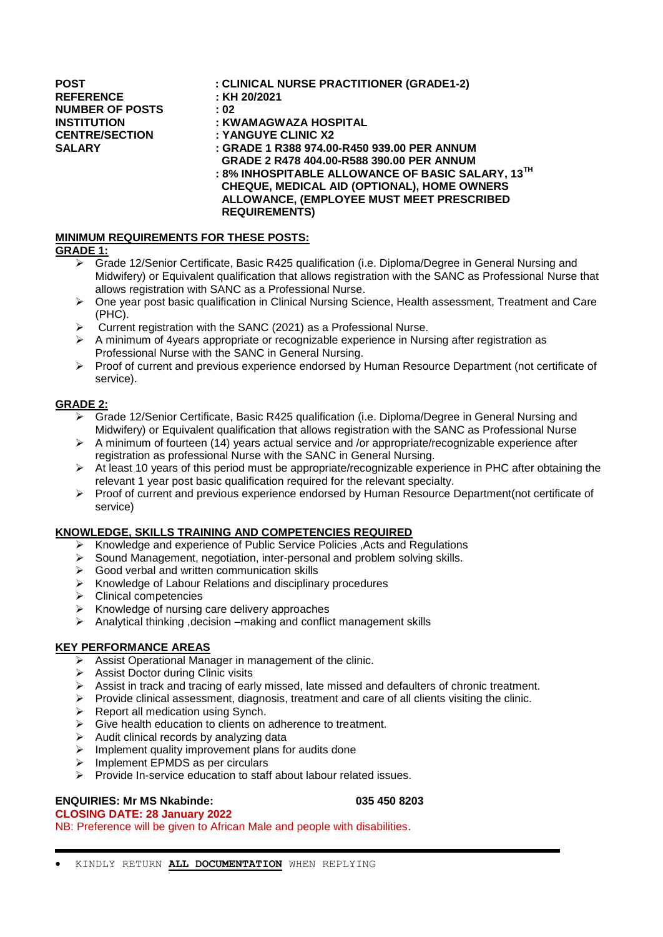**REFERENCE : KH 20/2021 NUMBER OF POSTS : 02 INSTITUTION : KWAMAGWAZA HOSPITAL CENTRE/SECTION : YANGUYE CLINIC X2**

## **POST : CLINICAL NURSE PRACTITIONER (GRADE1-2)**

- 
- 

**SALARY : GRADE 1 R388 974.00-R450 939.00 PER ANNUM**

 **GRADE 2 R478 404.00-R588 390.00 PER ANNUM**

**: 8% INHOSPITABLE ALLOWANCE OF BASIC SALARY, 13TH CHEQUE, MEDICAL AID (OPTIONAL), HOME OWNERS ALLOWANCE, (EMPLOYEE MUST MEET PRESCRIBED REQUIREMENTS)** 

# **MINIMUM REQUIREMENTS FOR THESE POSTS:**

# **GRADE 1:**

- Grade 12/Senior Certificate, Basic R425 qualification (i.e. Diploma/Degree in General Nursing and Midwifery) or Equivalent qualification that allows registration with the SANC as Professional Nurse that allows registration with SANC as a Professional Nurse.
- $\triangleright$  One year post basic qualification in Clinical Nursing Science, Health assessment, Treatment and Care (PHC).
- $\triangleright$  Current registration with the SANC (2021) as a Professional Nurse.
- $\triangleright$  A minimum of 4years appropriate or recognizable experience in Nursing after registration as Professional Nurse with the SANC in General Nursing.
- $\triangleright$  Proof of current and previous experience endorsed by Human Resource Department (not certificate of service).

## **GRADE 2:**

- Grade 12/Senior Certificate, Basic R425 qualification (i.e. Diploma/Degree in General Nursing and Midwifery) or Equivalent qualification that allows registration with the SANC as Professional Nurse
- $\triangleright$  A minimum of fourteen (14) years actual service and /or appropriate/recognizable experience after registration as professional Nurse with the SANC in General Nursing.
- $\triangleright$  At least 10 years of this period must be appropriate/recognizable experience in PHC after obtaining the relevant 1 year post basic qualification required for the relevant specialty.
- Proof of current and previous experience endorsed by Human Resource Department(not certificate of service)

## **KNOWLEDGE, SKILLS TRAINING AND COMPETENCIES REQUIRED**

- $\triangleright$  Knowledge and experience of Public Service Policies , Acts and Regulations
- $\triangleright$  Sound Management, negotiation, inter-personal and problem solving skills.
- $\triangleright$  Good verbal and written communication skills
- $\triangleright$  Knowledge of Labour Relations and disciplinary procedures
- $\triangleright$  Clinical competencies
- $\triangleright$  Knowledge of nursing care delivery approaches
- $\triangleright$  Analytical thinking , decision –making and conflict management skills

## **KEY PERFORMANCE AREAS**

- Assist Operational Manager in management of the clinic.
- $\triangleright$  Assist Doctor during Clinic visits
- $\triangleright$  Assist in track and tracing of early missed, late missed and defaulters of chronic treatment.
- $\triangleright$  Provide clinical assessment, diagnosis, treatment and care of all clients visiting the clinic.
- $\triangleright$  Report all medication using Synch.
- Give health education to clients on adherence to treatment.
- $\triangleright$  Audit clinical records by analyzing data
- $\triangleright$  Implement quality improvement plans for audits done
- $\triangleright$  Implement EPMDS as per circulars
- $\triangleright$  Provide In-service education to staff about labour related issues.

# **ENQUIRIES: Mr MS Nkabinde: 035 450 8203**

# **CLOSING DATE: 28 January 2022**

NB: Preference will be given to African Male and people with disabilities.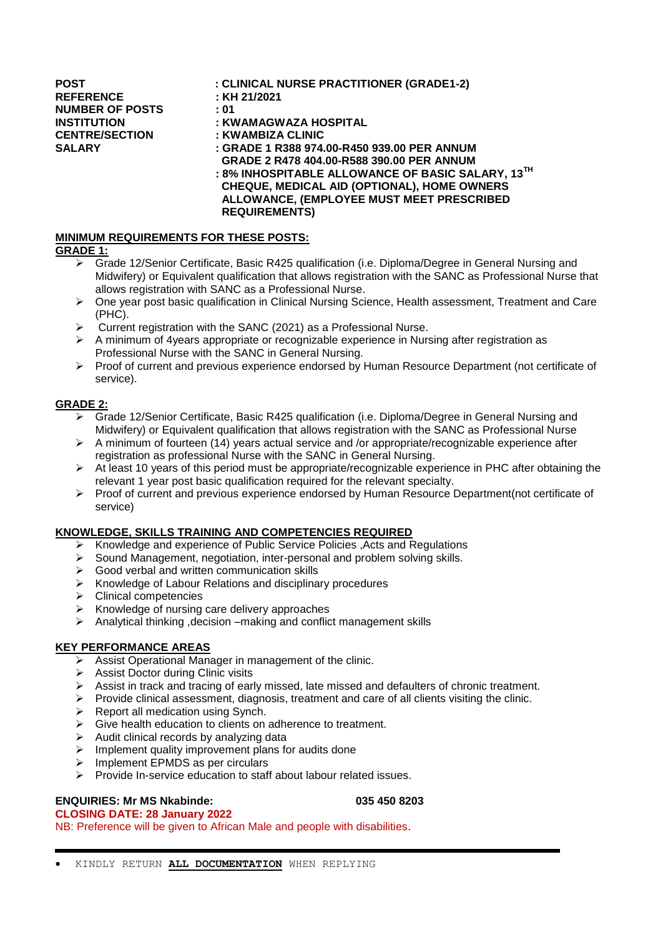**REFERENCE : KH 21/2021 NUMBER OF POSTS : 01**

## **POST : CLINICAL NURSE PRACTITIONER (GRADE1-2)**

- 
- 
- **INSTITUTION : KWAMAGWAZA HOSPITAL**
- **CENTRE/SECTION : KWAMBIZA CLINIC**

**SALARY : GRADE 1 R388 974.00-R450 939.00 PER ANNUM**

 **GRADE 2 R478 404.00-R588 390.00 PER ANNUM**

**: 8% INHOSPITABLE ALLOWANCE OF BASIC SALARY, 13TH CHEQUE, MEDICAL AID (OPTIONAL), HOME OWNERS ALLOWANCE, (EMPLOYEE MUST MEET PRESCRIBED REQUIREMENTS)** 

## **MINIMUM REQUIREMENTS FOR THESE POSTS:**

## **GRADE 1:**

- Grade 12/Senior Certificate, Basic R425 qualification (i.e. Diploma/Degree in General Nursing and Midwifery) or Equivalent qualification that allows registration with the SANC as Professional Nurse that allows registration with SANC as a Professional Nurse.
- $\triangleright$  One year post basic qualification in Clinical Nursing Science, Health assessment, Treatment and Care (PHC).
- $\triangleright$  Current registration with the SANC (2021) as a Professional Nurse.
- $\triangleright$  A minimum of 4years appropriate or recognizable experience in Nursing after registration as Professional Nurse with the SANC in General Nursing.
- $\triangleright$  Proof of current and previous experience endorsed by Human Resource Department (not certificate of service).

## **GRADE 2:**

- Grade 12/Senior Certificate, Basic R425 qualification (i.e. Diploma/Degree in General Nursing and Midwifery) or Equivalent qualification that allows registration with the SANC as Professional Nurse
- $\triangleright$  A minimum of fourteen (14) years actual service and /or appropriate/recognizable experience after registration as professional Nurse with the SANC in General Nursing.
- $\triangleright$  At least 10 years of this period must be appropriate/recognizable experience in PHC after obtaining the relevant 1 year post basic qualification required for the relevant specialty.
- Proof of current and previous experience endorsed by Human Resource Department(not certificate of service)

## **KNOWLEDGE, SKILLS TRAINING AND COMPETENCIES REQUIRED**

- $\triangleright$  Knowledge and experience of Public Service Policies , Acts and Regulations
- $\triangleright$  Sound Management, negotiation, inter-personal and problem solving skills.
- $\triangleright$  Good verbal and written communication skills
- $\triangleright$  Knowledge of Labour Relations and disciplinary procedures
- $\triangleright$  Clinical competencies
- $\triangleright$  Knowledge of nursing care delivery approaches
- $\triangleright$  Analytical thinking , decision –making and conflict management skills

## **KEY PERFORMANCE AREAS**

- Assist Operational Manager in management of the clinic.
- $\triangleright$  Assist Doctor during Clinic visits
- $\triangleright$  Assist in track and tracing of early missed, late missed and defaulters of chronic treatment.
- $\triangleright$  Provide clinical assessment, diagnosis, treatment and care of all clients visiting the clinic.
- $\triangleright$  Report all medication using Synch.
- Give health education to clients on adherence to treatment.
- $\triangleright$  Audit clinical records by analyzing data
- $\triangleright$  Implement quality improvement plans for audits done
- $\triangleright$  Implement EPMDS as per circulars
- $\triangleright$  Provide In-service education to staff about labour related issues.

## **ENQUIRIES: Mr MS Nkabinde: 035 450 8203**

## **CLOSING DATE: 28 January 2022**

NB: Preference will be given to African Male and people with disabilities.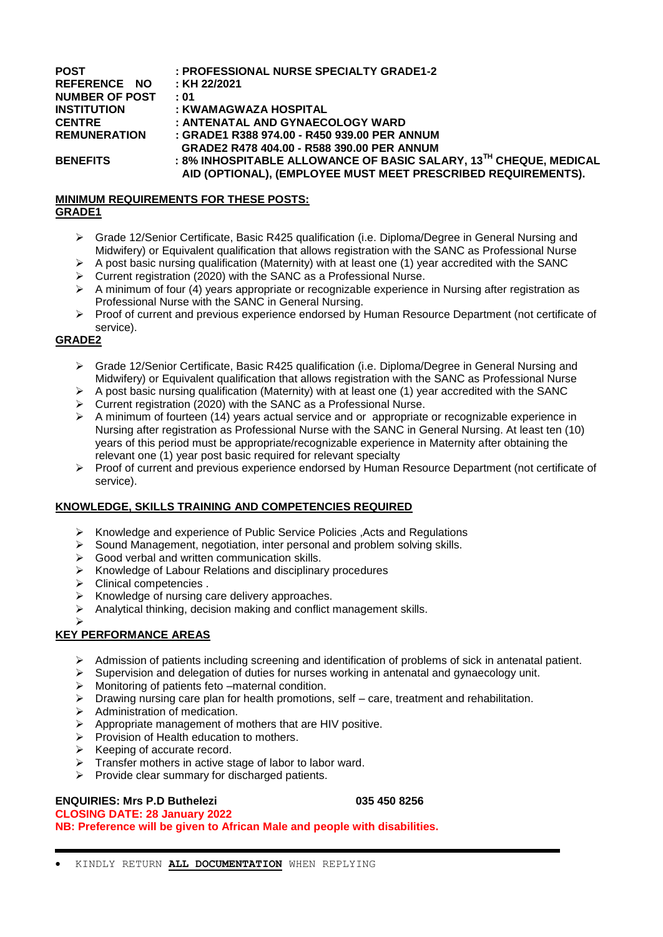| <b>POST</b><br>REFERENCE NO | : PROFESSIONAL NURSE SPECIALTY GRADE1-2<br>: KH 22/2021                                                                            |
|-----------------------------|------------------------------------------------------------------------------------------------------------------------------------|
| <b>NUMBER OF POST</b>       | :01                                                                                                                                |
| <b>INSTITUTION</b>          | : KWAMAGWAZA HOSPITAL                                                                                                              |
| <b>CENTRE</b>               | : ANTENATAL AND GYNAECOLOGY WARD                                                                                                   |
| <b>REMUNERATION</b>         | : GRADE1 R388 974.00 - R450 939.00 PER ANNUM                                                                                       |
|                             | GRADE2 R478 404.00 - R588 390.00 PER ANNUM                                                                                         |
| <b>BENEFITS</b>             | : 8% INHOSPITABLE ALLOWANCE OF BASIC SALARY, 13TH CHEQUE, MEDICAL<br>AID (OPTIONAL), (EMPLOYEE MUST MEET PRESCRIBED REQUIREMENTS). |

### **MINIMUM REQUIREMENTS FOR THESE POSTS: GRADE1**

- Grade 12/Senior Certificate, Basic R425 qualification (i.e. Diploma/Degree in General Nursing and Midwifery) or Equivalent qualification that allows registration with the SANC as Professional Nurse
- $\triangleright$  A post basic nursing qualification (Maternity) with at least one (1) year accredited with the SANC
- Current registration (2020) with the SANC as a Professional Nurse.
- $\triangleright$  A minimum of four (4) years appropriate or recognizable experience in Nursing after registration as Professional Nurse with the SANC in General Nursing.
- Proof of current and previous experience endorsed by Human Resource Department (not certificate of service).

## **GRADE2**

- Grade 12/Senior Certificate, Basic R425 qualification (i.e. Diploma/Degree in General Nursing and Midwifery) or Equivalent qualification that allows registration with the SANC as Professional Nurse
- $\triangleright$  A post basic nursing qualification (Maternity) with at least one (1) year accredited with the SANC
- $\triangleright$  Current registration (2020) with the SANC as a Professional Nurse.
- $\triangleright$  A minimum of fourteen (14) years actual service and or appropriate or recognizable experience in Nursing after registration as Professional Nurse with the SANC in General Nursing. At least ten (10) years of this period must be appropriate/recognizable experience in Maternity after obtaining the relevant one (1) year post basic required for relevant specialty
- Proof of current and previous experience endorsed by Human Resource Department (not certificate of service).

## **KNOWLEDGE, SKILLS TRAINING AND COMPETENCIES REQUIRED**

- $\triangleright$  Knowledge and experience of Public Service Policies , Acts and Regulations
- $\triangleright$  Sound Management, negotiation, inter personal and problem solving skills.
- $\triangleright$  Good verbal and written communication skills.
- $\triangleright$  Knowledge of Labour Relations and disciplinary procedures
- > Clinical competencies .
- $\triangleright$  Knowledge of nursing care delivery approaches.
- Analytical thinking, decision making and conflict management skills.

#### $\blacktriangleright$ **KEY PERFORMANCE AREAS**

- $\triangleright$  Admission of patients including screening and identification of problems of sick in antenatal patient.
- $\triangleright$  Supervision and delegation of duties for nurses working in antenatal and gynaecology unit.
- $\triangleright$  Monitoring of patients feto –maternal condition.
- $\triangleright$  Drawing nursing care plan for health promotions, self care, treatment and rehabilitation.
- $\triangleright$  Administration of medication.
- $\triangleright$  Appropriate management of mothers that are HIV positive.
- $\triangleright$  Provision of Health education to mothers.
- $\triangleright$  Keeping of accurate record.
- $\triangleright$  Transfer mothers in active stage of labor to labor ward.
- $\triangleright$  Provide clear summary for discharged patients.

# **ENQUIRIES: Mrs P.D Buthelezi 035 450 8256**

**CLOSING DATE: 28 January 2022 NB: Preference will be given to African Male and people with disabilities.**